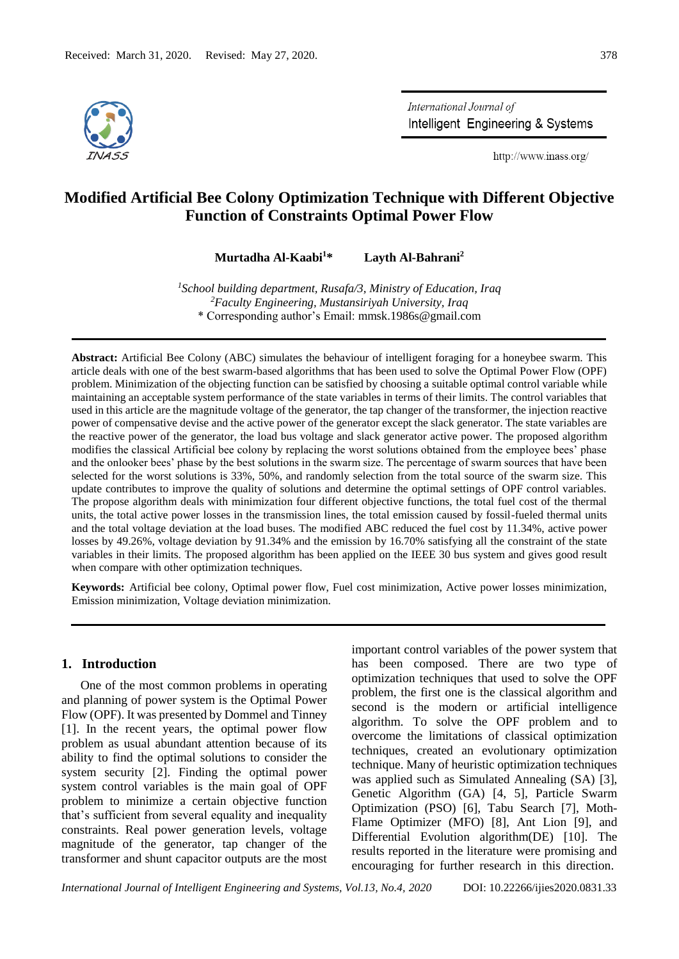

International Journal of Intelligent Engineering & Systems

http://www.inass.org/

# **Modified Artificial Bee Colony Optimization Technique with Different Objective Function of Constraints Optimal Power Flow**

**Murtadha Al-Kaabi<sup>1</sup>\* Layth Al-Bahrani<sup>2</sup>**

*1 School building department, Rusafa/3, Ministry of Education, Iraq <sup>2</sup>Faculty Engineering, Mustansiriyah University, Iraq* \* Corresponding author's Email: [mmsk.1986s@gmail.com](mailto:mmsk.1986s@gmail.com)

**Abstract:** Artificial Bee Colony (ABC) simulates the behaviour of intelligent foraging for a honeybee swarm. This article deals with one of the best swarm-based algorithms that has been used to solve the Optimal Power Flow (OPF) problem. Minimization of the objecting function can be satisfied by choosing a suitable optimal control variable while maintaining an acceptable system performance of the state variables in terms of their limits. The control variables that used in this article are the magnitude voltage of the generator, the tap changer of the transformer, the injection reactive power of compensative devise and the active power of the generator except the slack generator. The state variables are the reactive power of the generator, the load bus voltage and slack generator active power. The proposed algorithm modifies the classical Artificial bee colony by replacing the worst solutions obtained from the employee bees' phase and the onlooker bees' phase by the best solutions in the swarm size. The percentage of swarm sources that have been selected for the worst solutions is 33%, 50%, and randomly selection from the total source of the swarm size. This update contributes to improve the quality of solutions and determine the optimal settings of OPF control variables. The propose algorithm deals with minimization four different objective functions, the total fuel cost of the thermal units, the total active power losses in the transmission lines, the total emission caused by fossil-fueled thermal units and the total voltage deviation at the load buses. The modified ABC reduced the fuel cost by 11.34%, active power losses by 49.26%, voltage deviation by 91.34% and the emission by 16.70% satisfying all the constraint of the state variables in their limits. The proposed algorithm has been applied on the IEEE 30 bus system and gives good result when compare with other optimization techniques.

**Keywords:** Artificial bee colony, Optimal power flow, Fuel cost minimization, Active power losses minimization, Emission minimization, Voltage deviation minimization.

#### **1. Introduction**

One of the most common problems in operating and planning of power system is the Optimal Power Flow (OPF). It was presented by Dommel and Tinney [1]. In the recent years, the optimal power flow problem as usual abundant attention because of its ability to find the optimal solutions to consider the system security [2]. Finding the optimal power system control variables is the main goal of OPF problem to minimize a certain objective function that's sufficient from several equality and inequality constraints. Real power generation levels, voltage magnitude of the generator, tap changer of the transformer and shunt capacitor outputs are the most

important control variables of the power system that has been composed. There are two type of optimization techniques that used to solve the OPF problem, the first one is the classical algorithm and second is the modern or artificial intelligence algorithm. To solve the OPF problem and to overcome the limitations of classical optimization techniques, created an evolutionary optimization technique. Many of heuristic optimization techniques was applied such as Simulated Annealing (SA) [3], Genetic Algorithm (GA) [4, 5], Particle Swarm Optimization (PSO) [6], Tabu Search [7], Moth-Flame Optimizer (MFO) [8], Ant Lion [9], and Differential Evolution algorithm(DE) [10]. The results reported in the literature were promising and encouraging for further research in this direction.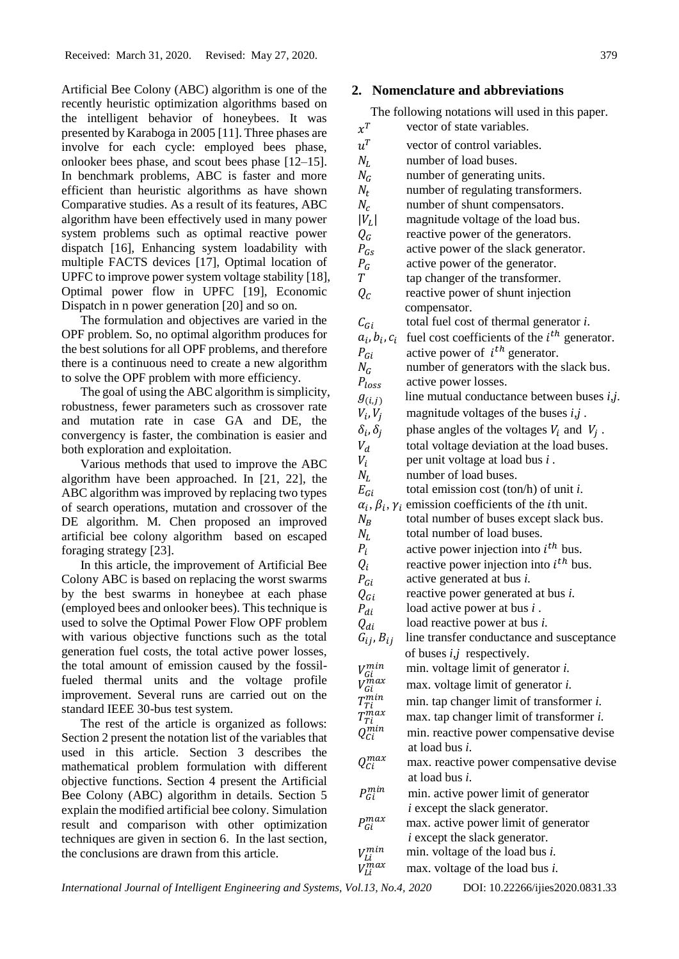Artificial Bee Colony (ABC) algorithm is one of the recently heuristic optimization algorithms based on the intelligent behavior of honeybees. It was presented by Karaboga in 2005 [11]. Three phases are involve for each cycle: employed bees phase, onlooker bees phase, and scout bees phase [12–15]. In benchmark problems, ABC is faster and more efficient than heuristic algorithms as have shown Comparative studies. As a result of its features, ABC algorithm have been effectively used in many power system problems such as optimal reactive power dispatch [16], Enhancing system loadability with multiple FACTS devices [17], Optimal location of UPFC to improve power system voltage stability [18], Optimal power flow in UPFC [19], Economic Dispatch in n power generation [20] and so on.

The formulation and objectives are varied in the OPF problem. So, no optimal algorithm produces for the best solutions for all OPF problems, and therefore there is a continuous need to create a new algorithm to solve the OPF problem with more efficiency.

The goal of using the ABC algorithm is simplicity, robustness, fewer parameters such as crossover rate and mutation rate in case GA and DE, the convergency is faster, the combination is easier and both exploration and exploitation.

Various methods that used to improve the ABC algorithm have been approached. In [21, 22], the ABC algorithm was improved by replacing two types of search operations, mutation and crossover of the DE algorithm. M. Chen proposed an improved artificial bee colony algorithm based on escaped foraging strategy [23].

In this article, the improvement of Artificial Bee Colony ABC is based on replacing the worst swarms by the best swarms in honeybee at each phase (employed bees and onlooker bees). This technique is used to solve the Optimal Power Flow OPF problem with various objective functions such as the total generation fuel costs, the total active power losses, the total amount of emission caused by the fossilfueled thermal units and the voltage profile improvement. Several runs are carried out on the standard IEEE 30-bus test system.

The rest of the article is organized as follows: Section 2 present the notation list of the variables that used in this article. Section 3 describes the mathematical problem formulation with different objective functions. Section 4 present the Artificial Bee Colony (ABC) algorithm in details. Section 5 explain the modified artificial bee colony. Simulation result and comparison with other optimization techniques are given in section 6. In the last section, the conclusions are drawn from this article.

## **2. Nomenclature and abbreviations**

The following notations will used in this paper.

| $x^T$                            | vector of state variables.                                                         |
|----------------------------------|------------------------------------------------------------------------------------|
| $u^T$                            | vector of control variables.                                                       |
| $N_L$                            | number of load buses.                                                              |
| $N_G$                            | number of generating units.                                                        |
| $N_t$                            | number of regulating transformers.                                                 |
| $N_c$                            | number of shunt compensators.                                                      |
| $ V_L $                          | magnitude voltage of the load bus.                                                 |
| $Q_G$                            | reactive power of the generators.                                                  |
| $P_{GS}$                         | active power of the slack generator.                                               |
| $P_G$                            | active power of the generator.                                                     |
| T                                | tap changer of the transformer.                                                    |
| $Q_{\mathcal{C}}$                | reactive power of shunt injection                                                  |
|                                  | compensator.                                                                       |
| $C_{Gi}$                         | total fuel cost of thermal generator i.                                            |
| $a_i, b_i, c_i$                  | fuel cost coefficients of the $i^{th}$ generator.                                  |
| $P_{Gi}$                         | active power of $i^{th}$ generator.                                                |
| $N_G$                            | number of generators with the slack bus.                                           |
| $P_{loss}$                       | active power losses.                                                               |
| $g_{(i,j)}$                      | line mutual conductance between buses i,j.                                         |
| $V_i, V_j$                       | magnitude voltages of the buses $i, j$ .                                           |
| $\delta_i$ , $\delta_j$          | phase angles of the voltages $V_i$ and $V_j$ .                                     |
| $V_d$                            | total voltage deviation at the load buses.                                         |
| $V_i$                            | per unit voltage at load bus <i>i</i> .                                            |
| $N_L$                            | number of load buses.                                                              |
| $E_{Gi}$                         | total emission cost (ton/h) of unit $i$ .                                          |
|                                  | $\alpha_i$ , $\beta_i$ , $\gamma_i$ emission coefficients of the <i>i</i> th unit. |
| $N_B$                            | total number of buses except slack bus.                                            |
| $N_L$                            | total number of load buses.                                                        |
| $P_i$                            | active power injection into $i^{th}$ bus.                                          |
| $Q_i$                            | reactive power injection into $i^{th}$ bus.                                        |
| $P_{Gi}$                         | active generated at bus <i>i</i> .                                                 |
| $Q_{Gi}$                         | reactive power generated at bus <i>i</i> .                                         |
| $P_{di}$                         | load active power at bus $i$ .                                                     |
| $Q_{di}$                         | load reactive power at bus <i>i</i> .                                              |
| $G_{ij}$ , $B_{ij}$              | line transfer conductance and susceptance                                          |
|                                  | of buses $i, j$ respectively.                                                      |
| $V_{Gi}^{min}$                   | min. voltage limit of generator <i>i</i> .                                         |
| $\sum_{i=1}^{n}$<br>Gi           | max. voltage limit of generator <i>i</i> .                                         |
| min-<br>$I_{Ti}$                 | min. tap changer limit of transformer i.                                           |
| r max<br>Ti                      | max. tap changer limit of transformer i.                                           |
| min<br>Ci                        | min. reactive power compensative devise                                            |
|                                  | at load bus <i>i</i> .                                                             |
| $Q_{\scriptscriptstyle C}^{max}$ | max. reactive power compensative devise                                            |
|                                  | at load bus <i>i</i> .                                                             |
| $P_{Gi}^{min}$                   | min. active power limit of generator                                               |
|                                  | <i>i</i> except the slack generator.                                               |
| $P_{Gi}^{max}$                   | max. active power limit of generator                                               |
|                                  | <i>i</i> except the slack generator.                                               |
| 7 min<br>'Li                     | min. voltage of the load bus i.                                                    |
| rmax<br>Li                       | max. voltage of the load bus <i>i</i> .                                            |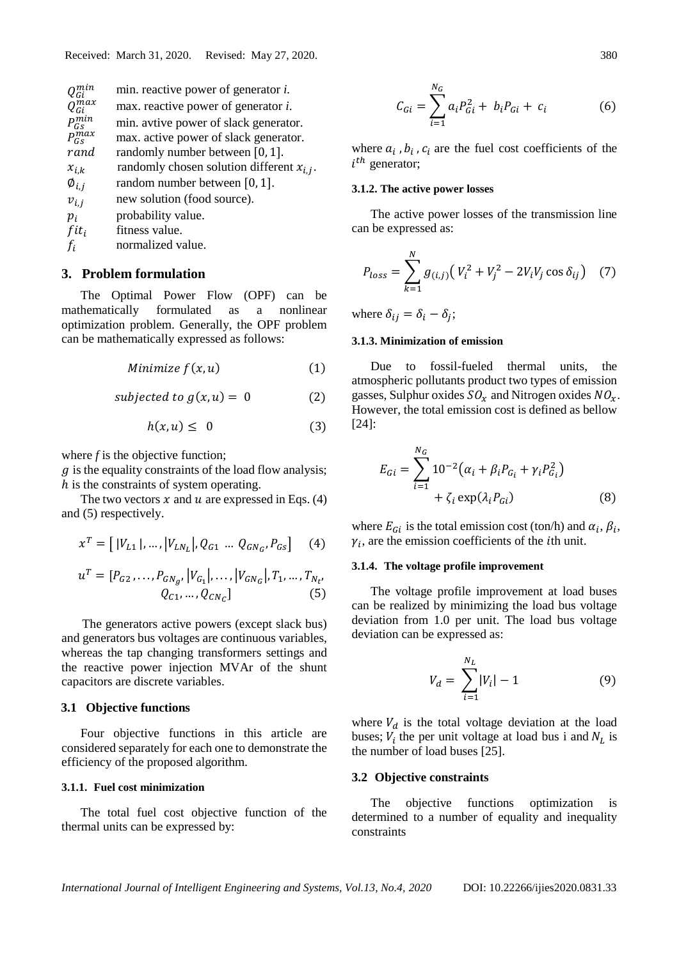| !ci               | min. reactive power of generator <i>i</i> .  |
|-------------------|----------------------------------------------|
| $J_{Gi}^{max}$    | max. reactive power of generator <i>i</i> .  |
| Ġс                | min. avtive power of slack generator.        |
| $P_{Gs}^{max}$    | max. active power of slack generator.        |
| rand              | randomly number between $[0, 1]$ .           |
| $x_{i,k}$         | randomly chosen solution different $x_{i,j}$ |
| $\emptyset_{i.i}$ | random number between $[0, 1]$ .             |
| $v_{i,i}$         | new solution (food source).                  |
| $p_i$             | probability value.                           |
| $fit_i$           | fitness value.                               |
| $f_i$             | normalized value.                            |
|                   |                                              |

#### **3. Problem formulation**

The Optimal Power Flow (OPF) can be mathematically formulated as a nonlinear optimization problem. Generally, the OPF problem can be mathematically expressed as follows:

Minimize 
$$
f(x, u)
$$
 (1)

subjected to  $g(x, u) = 0$  (2)

$$
h(x, u) \leq 0 \tag{3}
$$

where *f* is the objective function;

 $g$  is the equality constraints of the load flow analysis; h is the constraints of system operating.

The two vectors  $x$  and  $u$  are expressed in Eqs. (4) and (5) respectively.

$$
x^{T} = [ |V_{L1}|, ..., |V_{LN_{L}}|, Q_{G1} ... Q_{GN_{G}}, P_{Gs} ] \quad (4)
$$

$$
u^{T} = [P_{G2}, \dots, P_{GN_g}, [V_{G_1}], \dots, [V_{GN_G}], T_1, \dots, T_{N_t},
$$
  

$$
Q_{C1}, \dots, Q_{CN_G}]
$$
 (5)

The generators active powers (except slack bus) and generators bus voltages are continuous variables, whereas the tap changing transformers settings and the reactive power injection MVAr of the shunt capacitors are discrete variables.

## **3.1 Objective functions**

Four objective functions in this article are considered separately for each one to demonstrate the efficiency of the proposed algorithm.

#### **3.1.1. Fuel cost minimization**

The total fuel cost objective function of the thermal units can be expressed by:

$$
C_{Gi} = \sum_{i=1}^{N_G} a_i P_{Gi}^2 + b_i P_{Gi} + c_i
$$
 (6)

where  $a_i$ ,  $b_i$ ,  $c_i$  are the fuel cost coefficients of the  $i^{th}$  generator;

#### **3.1.2. The active power losses**

.

The active power losses of the transmission line can be expressed as:

$$
P_{loss} = \sum_{k=1}^{N} g_{(i,j)} (V_i^2 + V_j^2 - 2V_i V_j \cos \delta_{ij})
$$
 (7)

where  $\delta_{ij} = \delta_i - \delta_j$ ;

#### **3.1.3. Minimization of emission**

Due to fossil-fueled thermal units, the atmospheric pollutants product two types of emission gasses, Sulphur oxides  $SO<sub>r</sub>$  and Nitrogen oxides  $NO<sub>r</sub>$ . However, the total emission cost is defined as bellow [24]:

$$
E_{Gi} = \sum_{i=1}^{N_G} 10^{-2} (\alpha_i + \beta_i P_{G_i} + \gamma_i P_{G_i}^2) + \zeta_i \exp(\lambda_i P_{Gi})
$$
 (8)

where  $E_{Gi}$  is the total emission cost (ton/h) and  $\alpha_i$ ,  $\beta_i$ ,  $\gamma_i$ , are the emission coefficients of the *i*th unit.

#### **3.1.4. The voltage profile improvement**

The voltage profile improvement at load buses can be realized by minimizing the load bus voltage deviation from 1.0 per unit. The load bus voltage deviation can be expressed as:

$$
V_d = \sum_{i=1}^{N_L} |V_i| - 1 \tag{9}
$$

where  $V_d$  is the total voltage deviation at the load buses;  $V_i$  the per unit voltage at load bus i and  $N_L$  is the number of load buses [25].

#### **3.2 Objective constraints**

The objective functions optimization is determined to a number of equality and inequality constraints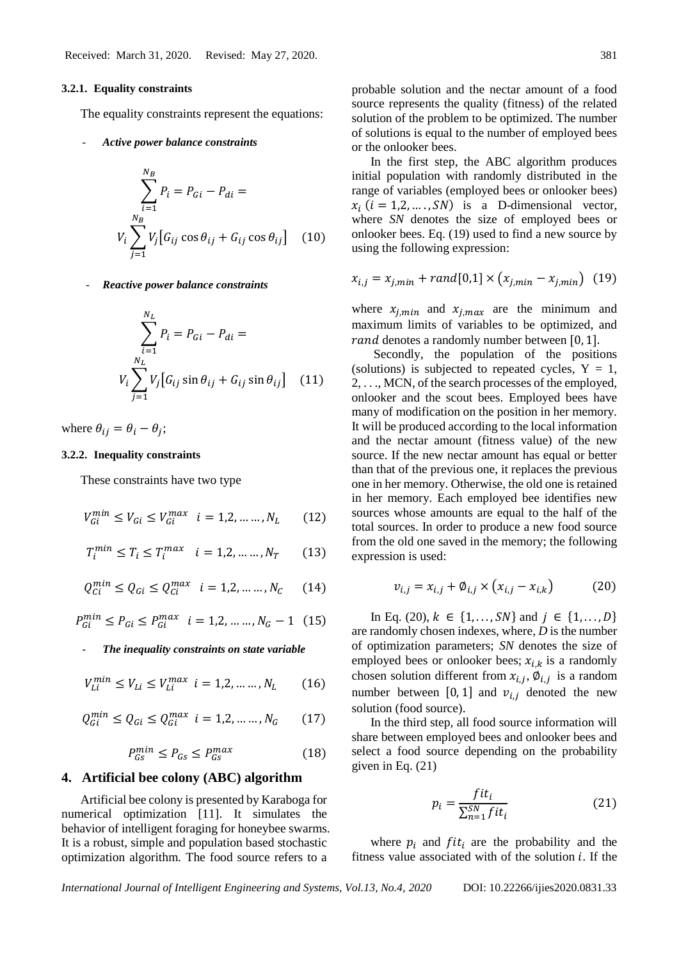#### **3.2.1. Equality constraints**

The equality constraints represent the equations:

- *Active power balance constraints*

$$
\sum_{i=1}^{N_B} P_i = P_{Gi} - P_{di} =
$$
  

$$
V_i \sum_{j=1}^{N_B} V_j [G_{ij} \cos \theta_{ij} + G_{ij} \cos \theta_{ij}]
$$
 (10)

- *Reactive power balance constraints*

$$
\sum_{i=1}^{N_L} P_i = P_{Gi} - P_{di} =
$$
  

$$
V_i \sum_{j=1}^{N_L} V_j [G_{ij} \sin \theta_{ij} + G_{ij} \sin \theta_{ij}]
$$
 (11)

where  $\theta_{ij} = \theta_i - \theta_j$ ;

#### **3.2.2. Inequality constraints**

These constraints have two type

$$
V_{Gi}^{min} \le V_{Gi} \le V_{Gi}^{max} \quad i = 1, 2, \dots, N_L \tag{12}
$$

$$
T_i^{min} \le T_i \le T_i^{max} \quad i = 1, 2, \dots, N_T \tag{13}
$$

$$
Q_{Ci}^{min} \le Q_{Gi} \le Q_{Ci}^{max} \quad i = 1, 2, \dots, N_C \tag{14}
$$

$$
P_{Gi}^{min} \le P_{Gi} \le P_{Gi}^{max} \quad i = 1, 2, \dots, N_G - 1 \quad (15)
$$

The *inequality constraints on state variable* 

$$
V_{Li}^{min} \le V_{Li} \le V_{Li}^{max} \ \ i = 1, 2, \dots \dots, N_L \tag{16}
$$

$$
Q_{Gi}^{min}\leq Q_{Gi}\leq Q_{Gi}^{max}~i=1,2,\ldots\ldots,N_{G}~~(17)
$$

$$
P_{GS}^{min} \le P_{GS} \le P_{GS}^{max} \tag{18}
$$

## **4. Artificial bee colony (ABC) algorithm**

Artificial bee colony is presented by Karaboga for numerical optimization [11]. It simulates the behavior of intelligent foraging for honeybee swarms. It is a robust, simple and population based stochastic optimization algorithm. The food source refers to a

probable solution and the nectar amount of a food source represents the quality (fitness) of the related solution of the problem to be optimized. The number of solutions is equal to the number of employed bees or the onlooker bees.

In the first step, the ABC algorithm produces initial population with randomly distributed in the range of variables (employed bees or onlooker bees)  $x_i$  ( $i = 1, 2, ..., SN$ ) is a D-dimensional vector, where *SN* denotes the size of employed bees or onlooker bees. Eq. (19) used to find a new source by using the following expression:

$$
x_{i,j} = x_{j,min} + rand[0,1] \times (x_{j,min} - x_{j,min}) \quad (19)
$$

where  $x_{j,min}$  and  $x_{j,max}$  are the minimum and maximum limits of variables to be optimized, and r and denotes a randomly number between [0, 1].

Secondly, the population of the positions (solutions) is subjected to repeated cycles,  $Y = 1$ , 2, . . ., MCN, of the search processes of the employed, onlooker and the scout bees. Employed bees have many of modification on the position in her memory. It will be produced according to the local information and the nectar amount (fitness value) of the new source. If the new nectar amount has equal or better than that of the previous one, it replaces the previous one in her memory. Otherwise, the old one is retained in her memory. Each employed bee identifies new sources whose amounts are equal to the half of the total sources. In order to produce a new food source from the old one saved in the memory; the following expression is used:

$$
v_{i,j} = x_{i,j} + \emptyset_{i,j} \times (x_{i,j} - x_{i,k})
$$
 (20)

In Eq. (20),  $k \in \{1, ..., SN\}$  and  $j \in \{1, ..., D\}$ are randomly chosen indexes, where, *D* is the number of optimization parameters; *SN* denotes the size of employed bees or onlooker bees;  $x_{i,k}$  is a randomly chosen solution different from  $x_{i,j}$ ,  $\phi_{i,j}$  is a random number between [0, 1] and  $v_{i,i}$  denoted the new solution (food source).

In the third step, all food source information will share between employed bees and onlooker bees and select a food source depending on the probability given in Eq. (21)

$$
p_i = \frac{fit_i}{\sum_{n=1}^{SN} fit_i}
$$
 (21)

where  $p_i$  and  $fit_i$  are the probability and the fitness value associated with of the solution  $i$ . If the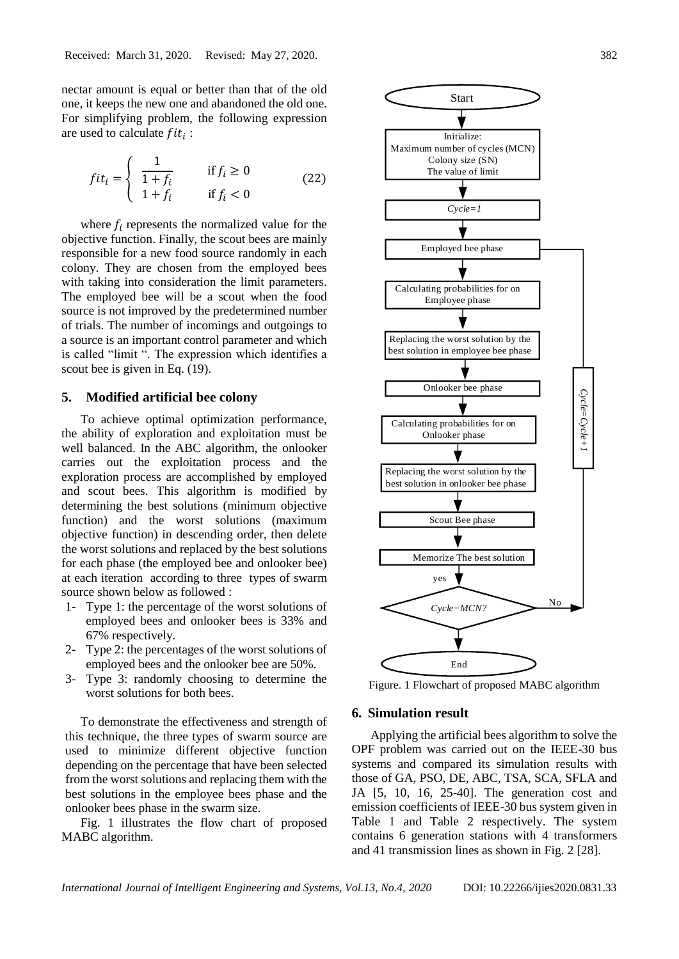nectar amount is equal or better than that of the old one, it keeps the new one and abandoned the old one. For simplifying problem, the following expression are used to calculate  $fit_i$ :

$$
fit_i = \begin{cases} \frac{1}{1+f_i} & \text{if } f_i \ge 0\\ 1+f_i & \text{if } f_i < 0 \end{cases} \tag{22}
$$

where  $f_i$  represents the normalized value for the objective function. Finally, the scout bees are mainly responsible for a new food source randomly in each colony. They are chosen from the employed bees with taking into consideration the limit parameters. The employed bee will be a scout when the food source is not improved by the predetermined number of trials. The number of incomings and outgoings to a source is an important control parameter and which is called "limit ". The expression which identifies a scout bee is given in Eq. (19).

## **5. Modified artificial bee colony**

To achieve optimal optimization performance, the ability of exploration and exploitation must be well balanced. In the ABC algorithm, the onlooker carries out the exploitation process and the exploration process are accomplished by employed and scout bees. This algorithm is modified by determining the best solutions (minimum objective function) and the worst solutions (maximum objective function) in descending order, then delete the worst solutions and replaced by the best solutions for each phase (the employed bee and onlooker bee) at each iteration according to three types of swarm source shown below as followed :

- 1- Type 1: the percentage of the worst solutions of employed bees and onlooker bees is 33% and 67% respectively.
- 2- Type 2: the percentages of the worst solutions of employed bees and the onlooker bee are 50%.
- 3- Type 3: randomly choosing to determine the worst solutions for both bees.

To demonstrate the effectiveness and strength of this technique, the three types of swarm source are used to minimize different objective function depending on the percentage that have been selected from the worst solutions and replacing them with the best solutions in the employee bees phase and the onlooker bees phase in the swarm size.

Fig. 1 illustrates the flow chart of proposed MABC algorithm.



Figure. 1 Flowchart of proposed MABC algorithm

#### **6. Simulation result**

Applying the artificial bees algorithm to solve the OPF problem was carried out on the IEEE-30 bus systems and compared its simulation results with those of GA, PSO, DE, ABC, TSA, SCA, SFLA and JA [5, 10, 16, 25-40]. The generation cost and emission coefficients of IEEE-30 bus system given in Table 1 and Table 2 respectively. The system contains 6 generation stations with 4 transformers and 41 transmission lines as shown in Fig. 2 [28].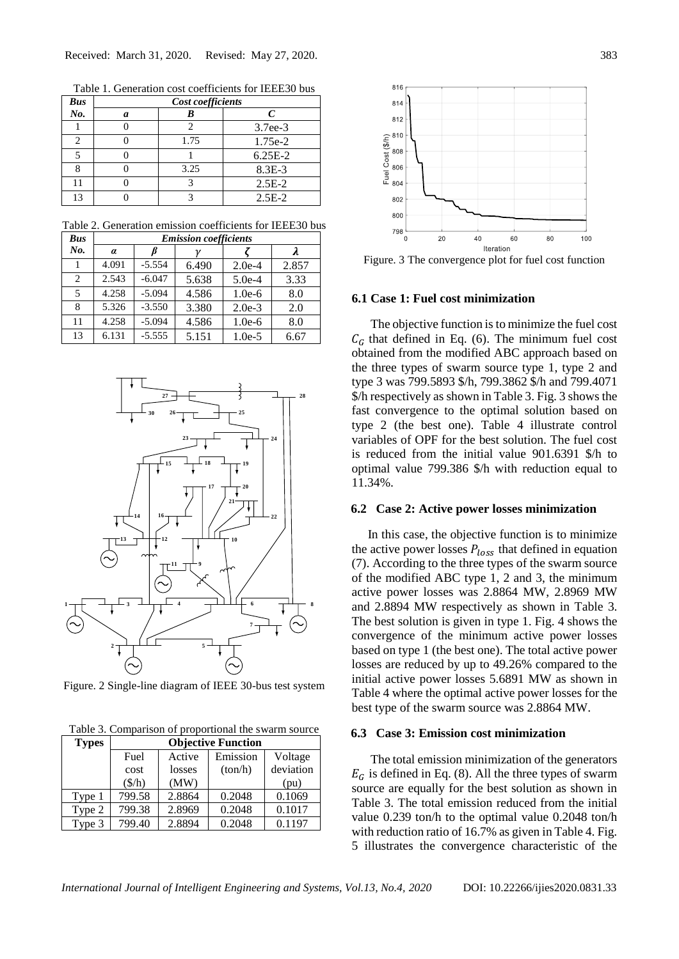Table 1. Generation cost coefficients for IEEE30 bus

| <b>Bus</b> | Cost coefficients |      |            |  |  |  |  |
|------------|-------------------|------|------------|--|--|--|--|
| No.        | a                 |      | C          |  |  |  |  |
|            |                   |      | $3.7ee-3$  |  |  |  |  |
|            |                   | 1.75 | 1.75e-2    |  |  |  |  |
|            |                   |      | $6.25E-2$  |  |  |  |  |
| о          |                   | 3.25 | $8.3E - 3$ |  |  |  |  |
| 11         |                   |      | $2.5E-2$   |  |  |  |  |
| 13         |                   |      | $2.5E-2$   |  |  |  |  |

Table 2. Generation emission coefficients for IEEE30 bus

| <b>Bus</b>                    | <b>Emission coefficients</b> |          |       |          |       |  |  |  |  |  |  |  |
|-------------------------------|------------------------------|----------|-------|----------|-------|--|--|--|--|--|--|--|
| No.                           | $\alpha$                     |          |       |          | λ     |  |  |  |  |  |  |  |
|                               | 4.091                        | $-5.554$ | 6.490 | $2.0e-4$ | 2.857 |  |  |  |  |  |  |  |
| $\mathfrak{D}_{\mathfrak{p}}$ | 2.543                        | $-6.047$ | 5.638 | $5.0e-4$ | 3.33  |  |  |  |  |  |  |  |
| $\overline{5}$                | 4.258                        | $-5.094$ | 4.586 | $1.0e-6$ | 8.0   |  |  |  |  |  |  |  |
| 8                             | 5.326                        | $-3.550$ | 3.380 | $2.0e-3$ | 2.0   |  |  |  |  |  |  |  |
| 11                            | 4.258                        | $-5.094$ | 4.586 | $1.0e-6$ | 8.0   |  |  |  |  |  |  |  |
| 13                            | 6.131                        | $-5.555$ | 5.151 | $1.0e-5$ | 6.67  |  |  |  |  |  |  |  |



Figure. 2 Single-line diagram of IEEE 30-bus test system

Table 3. Comparison of proportional the swarm source

| <b>Types</b> | <b>Objective Function</b> |        |          |           |  |  |
|--------------|---------------------------|--------|----------|-----------|--|--|
|              | Active<br>Fuel            |        | Emission | Voltage   |  |  |
|              | cost                      | losses | (ton/h)  | deviation |  |  |
|              | $(\frac{\xi}{h})$         | (MW)   |          | (pu)      |  |  |
| Type 1       | 799.58                    | 2.8864 | 0.2048   | 0.1069    |  |  |
| Type 2       | 799.38                    | 2.8969 | 0.2048   | 0.1017    |  |  |
| Type 3       | 799.40                    | 2.8894 | 0.2048   | 0.1197    |  |  |



Figure. 3 The convergence plot for fuel cost function

## **6.1 Case 1: Fuel cost minimization**

The objective function is to minimize the fuel cost  $C_G$  that defined in Eq. (6). The minimum fuel cost obtained from the modified ABC approach based on the three types of swarm source type 1, type 2 and type 3 was 799.5893 \$/h, 799.3862 \$/h and 799.4071 \$/h respectively as shown in Table 3. Fig. 3 shows the fast convergence to the optimal solution based on type 2 (the best one). Table 4 illustrate control variables of OPF for the best solution. The fuel cost is reduced from the initial value 901.6391 \$/h to optimal value 799.386 \$/h with reduction equal to 11.34%.

### **6.2 Case 2: Active power losses minimization**

In this case, the objective function is to minimize the active power losses  $P_{loss}$  that defined in equation (7). According to the three types of the swarm source of the modified ABC type 1, 2 and 3, the minimum active power losses was 2.8864 MW, 2.8969 MW and 2.8894 MW respectively as shown in Table 3. The best solution is given in type 1. Fig. 4 shows the convergence of the minimum active power losses based on type 1 (the best one). The total active power losses are reduced by up to 49.26% compared to the initial active power losses 5.6891 MW as shown in Table 4 where the optimal active power losses for the best type of the swarm source was 2.8864 MW.

#### **6.3 Case 3: Emission cost minimization**

The total emission minimization of the generators  $E_G$  is defined in Eq. (8). All the three types of swarm source are equally for the best solution as shown in Table 3. The total emission reduced from the initial value 0.239 ton/h to the optimal value 0.2048 ton/h with reduction ratio of 16.7% as given in Table 4. Fig. 5 illustrates the convergence characteristic of the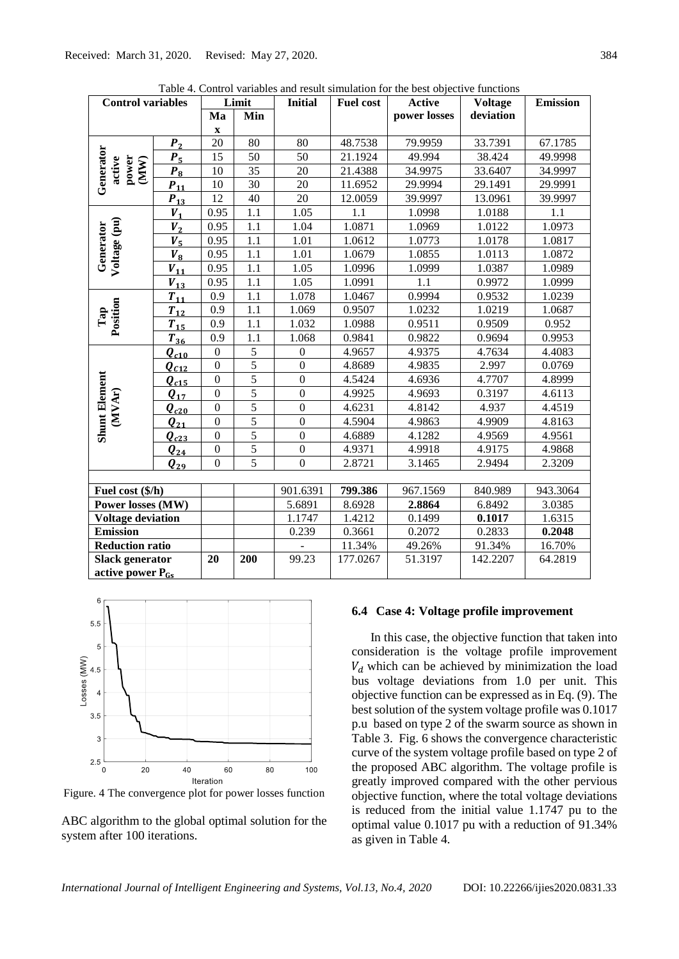| <b>Control variables</b>             |                        |                  | Limit          | <b>Initial</b>   | <b>Fuel cost</b> | <b>Active</b> | <b>Voltage</b> | <b>Emission</b> |
|--------------------------------------|------------------------|------------------|----------------|------------------|------------------|---------------|----------------|-----------------|
|                                      |                        | Ma               | Min            |                  |                  | power losses  | deviation      |                 |
|                                      |                        | $\mathbf X$      |                |                  |                  |               |                |                 |
|                                      | P <sub>2</sub>         | 20               | 80             | 80               | 48.7538          | 79.9959       | 33.7391        | 67.1785         |
|                                      | $P_5$                  | 15               | 50             | 50               | 21.1924          | 49.994        | 38.424         | 49.9998         |
| Generator<br>active<br>power<br>(MW) | $P_8$                  | 10               | 35             | 20               | 21.4388          | 34.9975       | 33.6407        | 34.9997         |
|                                      | $P_{11}$               | 10               | 30             | 20               | 11.6952          | 29.9994       | 29.1491        | 29.9991         |
|                                      | $P_{13}$               | $\overline{12}$  | 40             | $\overline{20}$  | 12.0059          | 39.9997       | 13.0961        | 39.9997         |
|                                      | $V_1$                  | 0.95             | 1.1            | 1.05             | 1.1              | 1.0998        | 1.0188         | 1.1             |
|                                      | $\boldsymbol{V}_2$     | 0.95             | 1.1            | 1.04             | 1.0871           | 1.0969        | 1.0122         | 1.0973          |
| Generator                            | $V_{\rm 5}$            | 0.95             | 1.1            | 1.01             | 1.0612           | 1.0773        | 1.0178         | 1.0817          |
|                                      | $V_{8}$                | 0.95             | $1.1\,$        | 1.01             | 1.0679           | 1.0855        | 1.0113         | 1.0872          |
| Voltage (pu)                         | $V_{11}$               | 0.95             | 1.1            | 1.05             | 1.0996           | 1.0999        | 1.0387         | 1.0989          |
|                                      | $V_{13}$               | 0.95             | 1.1            | 1.05             | 1.0991           | 1.1           | 0.9972         | 1.0999          |
|                                      | $T_{11}$               | 0.9              | 1.1            | 1.078            | 1.0467           | 0.9994        | 0.9532         | 1.0239          |
| Position                             | $T_{12}$               | 0.9              | 1.1            | 1.069            | 0.9507           | 1.0232        | 1.0219         | 1.0687          |
| Tap                                  | $T_{15}$               | 0.9              | 1.1            | 1.032            | 1.0988           | 0.9511        | 0.9509         | 0.952           |
|                                      | $T_{36}$               | 0.9              | 1.1            | 1.068            | 0.9841           | 0.9822        | 0.9694         | 0.9953          |
|                                      | $Q_{c10}$              | $\boldsymbol{0}$ | $\sqrt{5}$     | $\overline{0}$   | 4.9657           | 4.9375        | 4.7634         | 4.4083          |
|                                      | $Q_{C12}$              | $\overline{0}$   | $\overline{5}$ | $\overline{0}$   | 4.8689           | 4.9835        | 2.997          | 0.0769          |
|                                      | $\bm{Q}_{c15}$         | $\boldsymbol{0}$ | $\overline{5}$ | $\boldsymbol{0}$ | 4.5424           | 4.6936        | 4.7707         | 4.8999          |
|                                      | $Q_{17}$               | $\overline{0}$   | $\overline{5}$ | $\mathbf{0}$     | 4.9925           | 4.9693        | 0.3197         | 4.6113          |
| (MVAr)                               | $\boldsymbol{Q}_{c20}$ | $\overline{0}$   | $\overline{5}$ | $\overline{0}$   | 4.6231           | 4.8142        | 4.937          | 4.4519          |
|                                      | $\boldsymbol{Q_{21}}$  | $\boldsymbol{0}$ | $\overline{5}$ | $\boldsymbol{0}$ | 4.5904           | 4.9863        | 4.9909         | 4.8163          |
| <b>Shunt Element</b>                 | $\bm{Q}_{c23}$         | $\mathbf{0}$     | $\overline{5}$ | $\boldsymbol{0}$ | 4.6889           | 4.1282        | 4.9569         | 4.9561          |
|                                      | $Q_{24}$               | $\boldsymbol{0}$ | $\sqrt{5}$     | $\mathbf{0}$     | 4.9371           | 4.9918        | 4.9175         | 4.9868          |
|                                      | $Q_{29}$               | $\overline{0}$   | $\overline{5}$ | $\overline{0}$   | 2.8721           | 3.1465        | 2.9494         | 2.3209          |
|                                      |                        |                  |                |                  |                  |               |                |                 |
| Fuel cost (\$/h)                     |                        |                  |                | 901.6391         | 799.386          | 967.1569      | 840.989        | 943.3064        |
| Power losses (MW)                    |                        |                  |                | 5.6891           | 8.6928           | 2.8864        | 6.8492         | 3.0385          |
| <b>Voltage deviation</b>             |                        |                  |                | 1.1747           | 1.4212           | 0.1499        | 0.1017         | 1.6315          |
| <b>Emission</b>                      |                        |                  |                | 0.239            | 0.3661           | 0.2072        | 0.2833         | 0.2048          |
| <b>Reduction ratio</b>               |                        |                  |                |                  | 11.34%           | 49.26%        | 91.34%         | 16.70%          |
| <b>Slack generator</b>               |                        | 20               | 200            | 99.23            | 177.0267         | 51.3197       | 142.2207       | 64.2819         |
| active power $P_{Gs}$                |                        |                  |                |                  |                  |               |                |                 |

Table 4. Control variables and result simulation for the best objective functions



Figure. 4 The convergence plot for power losses function

ABC algorithm to the global optimal solution for the system after 100 iterations.

#### **6.4 Case 4: Voltage profile improvement**

In this case, the objective function that taken into consideration is the voltage profile improvement  $V<sub>d</sub>$  which can be achieved by minimization the load bus voltage deviations from 1.0 per unit. This objective function can be expressed as in Eq. (9). The best solution of the system voltage profile was 0.1017 p.u based on type 2 of the swarm source as shown in Table 3. Fig. 6 shows the convergence characteristic curve of the system voltage profile based on type 2 of the proposed ABC algorithm. The voltage profile is greatly improved compared with the other pervious objective function, where the total voltage deviations is reduced from the initial value 1.1747 pu to the optimal value 0.1017 pu with a reduction of 91.34% as given in Table 4.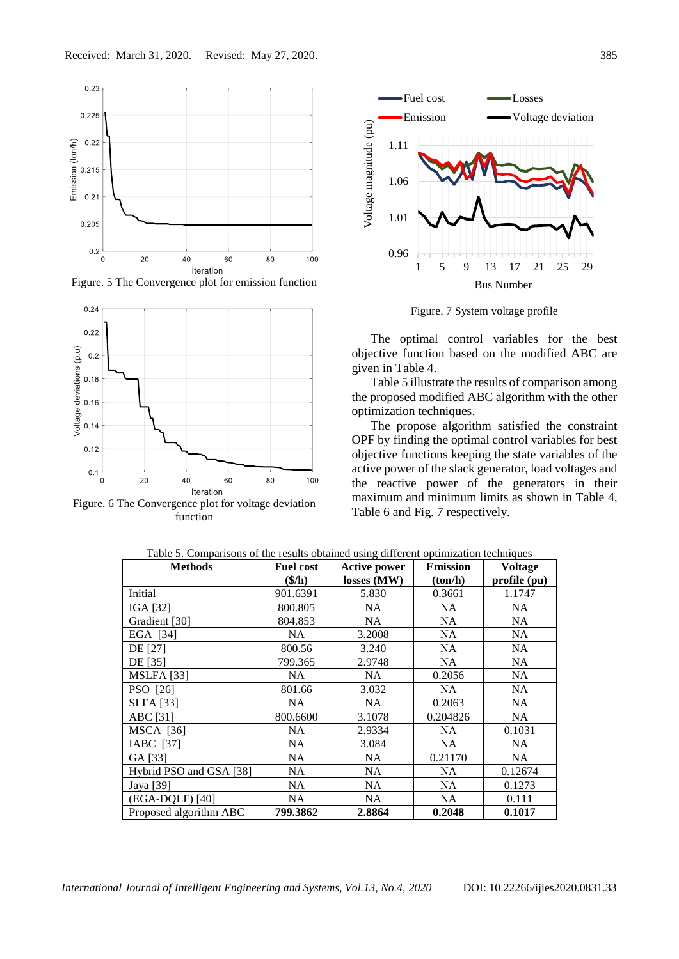

Figure. 5 The Convergence plot for emission function



Figure. 6 The Convergence plot for voltage deviation function



Figure. 7 System voltage profile

The optimal control variables for the best objective function based on the modified ABC are given in Table 4.

Table 5 illustrate the results of comparison among the proposed modified ABC algorithm with the other optimization techniques.

The propose algorithm satisfied the constraint OPF by finding the optimal control variables for best objective functions keeping the state variables of the active power of the slack generator, load voltages and the reactive power of the generators in their maximum and minimum limits as shown in Table 4, Table 6 and Fig. 7 respectively.

| <b>Methods</b>          | <b>Fuel cost</b>              | <b>Active power</b> | <b>Emission</b> | Voltage      |
|-------------------------|-------------------------------|---------------------|-----------------|--------------|
|                         | $(\frac{\mathcal{S}}{\hbar})$ | losses(MW)          | (ton/h)         | profile (pu) |
| Initial                 | 901.6391                      | 5.830               | 0.3661          | 1.1747       |
| IGA [32]                | 800.805                       | NA                  | NA.             | NA           |
| Gradient [30]           | 804.853                       | NA.                 | NA.             | NA.          |
| EGA [34]                | NA                            | 3.2008              | NA.             | NA.          |
| <b>DE</b> [27]          | 800.56                        | 3.240               | NA.             | NA.          |
| DE [35]                 | 799.365                       | 2.9748              | NA.             | NA.          |
| <b>MSLFA</b> [33]       | NA                            | NA                  | 0.2056          | NA           |
| PSO [26]                | 801.66                        | 3.032               | NA.             | NA           |
| <b>SLFA</b> [33]        | NA                            | NA.                 | 0.2063          | NA.          |
| ABC [31]                | 800.6600                      | 3.1078              | 0.204826        | NA.          |
| <b>MSCA</b> [36]        | NA                            | 2.9334              | NA.             | 0.1031       |
| IABC [37]               | <b>NA</b>                     | 3.084               | NA.             | NA           |
| GA [33]                 | <b>NA</b>                     | <b>NA</b>           | 0.21170         | NA           |
| Hybrid PSO and GSA [38] | <b>NA</b>                     | <b>NA</b>           | <b>NA</b>       | 0.12674      |
| Jaya [39]               | NA                            | NA                  | <b>NA</b>       | 0.1273       |
| (EGA-DQLF) [40]         | NA                            | <b>NA</b>           | <b>NA</b>       | 0.111        |
| Proposed algorithm ABC  | 799.3862                      | 2.8864              | 0.2048          | 0.1017       |

Table 5. Comparisons of the results obtained using different optimization techniques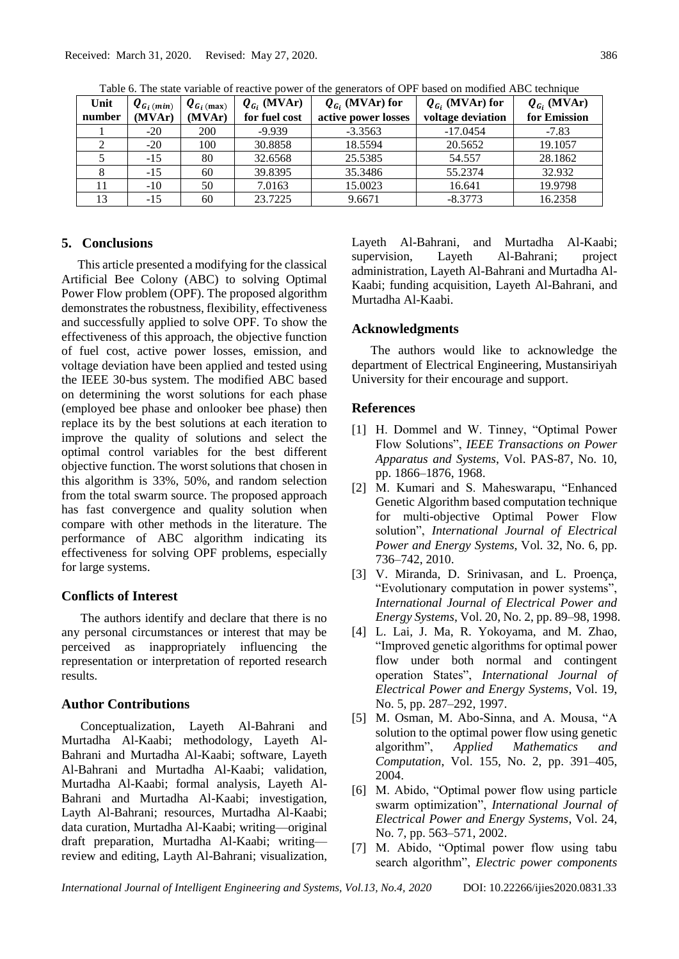| Unit   | $\boldsymbol{Q}_{G_i \, (min)}$ | $\boldsymbol{Q}_{G_i \, (\text{max})}$ | $Q_{G_i}$ (MVAr) | $Q_{G_i}$ (MVAr) for | $Q_{G_i}$ (MVAr) for | $Q_{G_i}$ (MVAr) |
|--------|---------------------------------|----------------------------------------|------------------|----------------------|----------------------|------------------|
| number | (MVAr)                          | (MVAr)                                 | for fuel cost    | active power losses  | voltage deviation    | for Emission     |
|        | $-20$                           | <b>200</b>                             | $-9.939$         | $-3.3563$            | $-17.0454$           | $-7.83$          |
|        | $-20$                           | 100                                    | 30.8858          | 18.5594              | 20.5652              | 19.1057          |
|        | $-15$                           | 80                                     | 32.6568          | 25.5385              | 54.557               | 28.1862          |
|        | $-15$                           | 60                                     | 39.8395          | 35.3486              | 55.2374              | 32.932           |
|        | $-10$                           | 50                                     | 7.0163           | 15.0023              | 16.641               | 19.9798          |
| 13     | $-15$                           | 60                                     | 23.7225          | 9.6671               | $-8.3773$            | 16.2358          |

Table 6. The state variable of reactive power of the generators of OPF based on modified ABC technique

## **5. Conclusions**

This article presented a modifying for the classical Artificial Bee Colony (ABC) to solving Optimal Power Flow problem (OPF). The proposed algorithm demonstrates the robustness, flexibility, effectiveness and successfully applied to solve OPF. To show the effectiveness of this approach, the objective function of fuel cost, active power losses, emission, and voltage deviation have been applied and tested using the IEEE 30-bus system. The modified ABC based on determining the worst solutions for each phase (employed bee phase and onlooker bee phase) then replace its by the best solutions at each iteration to improve the quality of solutions and select the optimal control variables for the best different objective function. The worst solutions that chosen in this algorithm is 33%, 50%, and random selection from the total swarm source. The proposed approach has fast convergence and quality solution when compare with other methods in the literature. The performance of ABC algorithm indicating its effectiveness for solving OPF problems, especially for large systems.

### **Conflicts of Interest**

The authors identify and declare that there is no any personal circumstances or interest that may be perceived as inappropriately influencing the representation or interpretation of reported research results.

## **Author Contributions**

Conceptualization, Layeth Al-Bahrani and Murtadha Al-Kaabi; methodology, Layeth Al-Bahrani and Murtadha Al-Kaabi; software, Layeth Al-Bahrani and Murtadha Al-Kaabi; validation, Murtadha Al-Kaabi; formal analysis, Layeth Al-Bahrani and Murtadha Al-Kaabi; investigation, Layth Al-Bahrani; resources, Murtadha Al-Kaabi; data curation, Murtadha Al-Kaabi; writing—original draft preparation, Murtadha Al-Kaabi; writing review and editing, Layth Al-Bahrani; visualization, Layeth Al-Bahrani, and Murtadha Al-Kaabi; supervision, Layeth Al-Bahrani; project administration, Layeth Al-Bahrani and Murtadha Al-Kaabi; funding acquisition, Layeth Al-Bahrani, and Murtadha Al-Kaabi.

### **Acknowledgments**

The authors would like to acknowledge the department of Electrical Engineering, Mustansiriyah University for their encourage and support.

#### **References**

- [1] H. Dommel and W. Tinney, "Optimal Power Flow Solutions", *IEEE Transactions on Power Apparatus and Systems*, Vol. PAS-87, No. 10, pp. 1866–1876, 1968.
- [2] M. Kumari and S. Maheswarapu, "Enhanced Genetic Algorithm based computation technique for multi-objective Optimal Power Flow solution", *International Journal of Electrical Power and Energy Systems*, Vol. 32, No. 6, pp. 736–742, 2010.
- [3] V. Miranda, D. Srinivasan, and L. Proença, "Evolutionary computation in power systems", *International Journal of Electrical Power and Energy Systems*, Vol. 20, No. 2, pp. 89–98, 1998.
- [4] L. Lai, J. Ma, R. Yokoyama, and M. Zhao, "Improved genetic algorithms for optimal power flow under both normal and contingent operation States", *International Journal of Electrical Power and Energy Systems*, Vol. 19, No. 5, pp. 287–292, 1997.
- [5] M. Osman, M. Abo-Sinna, and A. Mousa, "A solution to the optimal power flow using genetic algorithm", *Applied Mathematics and Computation*, Vol. 155, No. 2, pp. 391–405, 2004.
- [6] M. Abido, "Optimal power flow using particle swarm optimization", *International Journal of Electrical Power and Energy Systems*, Vol. 24, No. 7, pp. 563–571, 2002.
- [7] M. Abido, "Optimal power flow using tabu search algorithm", *Electric power components*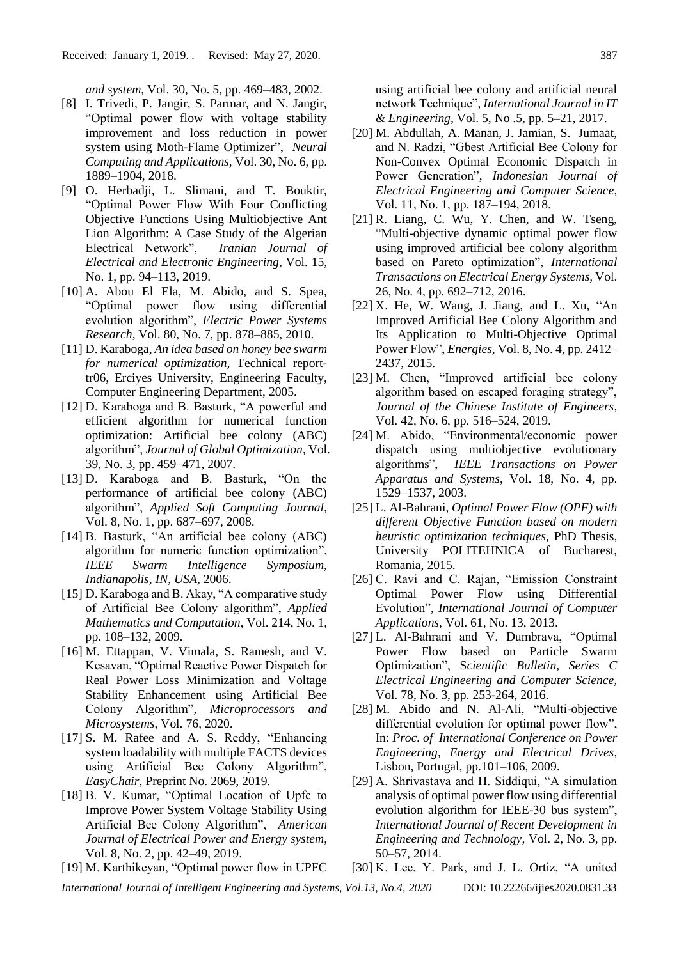*and system*, Vol. 30, No. 5, pp. 469–483, 2002.

- [8] I. Trivedi, P. Jangir, S. Parmar, and N. Jangir, "Optimal power flow with voltage stability improvement and loss reduction in power system using Moth-Flame Optimizer", *Neural Computing and Applications*, Vol. 30, No. 6, pp. 1889–1904, 2018.
- [9] O. Herbadji, L. Slimani, and T. Bouktir, "Optimal Power Flow With Four Conflicting Objective Functions Using Multiobjective Ant Lion Algorithm: A Case Study of the Algerian Electrical Network", *Iranian Journal of Electrical and Electronic Engineering*, Vol. 15, No. 1, pp. 94–113, 2019.
- [10] A. Abou El Ela, M. Abido, and S. Spea, "Optimal power flow using differential evolution algorithm", *Electric Power Systems Research*, Vol. 80, No. 7, pp. 878–885, 2010.
- [11] D. Karaboga, *An idea based on honey bee swarm for numerical optimization,* Technical reporttr06, Erciyes University, Engineering Faculty, Computer Engineering Department, 2005.
- [12] D. Karaboga and B. Basturk, "A powerful and efficient algorithm for numerical function optimization: Artificial bee colony (ABC) algorithm", *Journal of Global Optimization*, Vol. 39, No. 3, pp. 459–471, 2007.
- [13] D. Karaboga and B. Basturk, "On the performance of artificial bee colony (ABC) algorithm", *Applied Soft Computing Journal*, Vol. 8, No. 1, pp. 687–697, 2008.
- [14] B. Basturk, "An artificial bee colony (ABC) algorithm for numeric function optimization", *IEEE Swarm Intelligence Symposium, Indianapolis, IN, USA*, 2006.
- [15] D. Karaboga and B. Akay, "A comparative study of Artificial Bee Colony algorithm", *Applied Mathematics and Computation*, Vol. 214, No. 1, pp. 108–132, 2009.
- [16] M. Ettappan, V. Vimala, S. Ramesh, and V. Kesavan, "Optimal Reactive Power Dispatch for Real Power Loss Minimization and Voltage Stability Enhancement using Artificial Bee Colony Algorithm", *Microprocessors and Microsystems*, Vol. 76, 2020.
- [17] S. M. Rafee and A. S. Reddy, "Enhancing system loadability with multiple FACTS devices using Artificial Bee Colony Algorithm", *EasyChair*, Preprint No. 2069, 2019.
- [18] B. V. Kumar, "Optimal Location of Upfc to Improve Power System Voltage Stability Using Artificial Bee Colony Algorithm", *American Journal of Electrical Power and Energy system*, Vol. 8, No. 2, pp. 42–49, 2019.
- [19] M. Karthikeyan, "Optimal power flow in UPFC

using artificial bee colony and artificial neural network Technique", *International Journal in IT & Engineering*, Vol. 5, No .5, pp. 5–21, 2017.

- [20] M. Abdullah, A. Manan, J. Jamian, S. Jumaat, and N. Radzi, "Gbest Artificial Bee Colony for Non-Convex Optimal Economic Dispatch in Power Generation", *Indonesian Journal of Electrical Engineering and Computer Science*, Vol. 11, No. 1, pp. 187–194, 2018.
- [21] R. Liang, C. Wu, Y. Chen, and W. Tseng, "Multi-objective dynamic optimal power flow using improved artificial bee colony algorithm based on Pareto optimization", *International Transactions on Electrical Energy Systems,* Vol. 26, No. 4, pp. 692–712, 2016.
- $[22]$  X. He, W. Wang, J. Jiang, and L. Xu, "An Improved Artificial Bee Colony Algorithm and Its Application to Multi-Objective Optimal Power Flow", *Energies,* Vol. 8, No. 4, pp. 2412– 2437, 2015.
- [23] M. Chen, "Improved artificial bee colony algorithm based on escaped foraging strategy", *Journal of the Chinese Institute of Engineers*, Vol. 42, No. 6, pp. 516–524, 2019.
- [24] M. Abido, "Environmental/economic power dispatch using multiobjective evolutionary algorithms", *IEEE Transactions on Power Apparatus and Systems*, Vol. 18, No. 4, pp. 1529–1537, 2003.
- [25] L. Al-Bahrani, *Optimal Power Flow (OPF) with different Objective Function based on modern heuristic optimization techniques,* PhD Thesis, University POLITEHNICA of Bucharest, Romania, 2015.
- [26] C. Ravi and C. Rajan, "Emission Constraint Optimal Power Flow using Differential Evolution", *International Journal of Computer Applications*, Vol. 61, No. 13, 2013.
- [27] L. Al-Bahrani and V. Dumbrava, "Optimal Power Flow based on Particle Swarm Optimization", S*cientific Bulletin, Series C Electrical Engineering and Computer Science,*  Vol. 78, No. 3, pp. 253-264, 2016.
- [28] M. Abido and N. Al-Ali, "Multi-objective differential evolution for optimal power flow", In: *Proc. of International Conference on Power Engineering, Energy and Electrical Drives*, Lisbon, Portugal, pp.101–106, 2009.
- [29] A. Shrivastava and H. Siddiqui, "A simulation analysis of optimal power flow using differential evolution algorithm for IEEE-30 bus system", *International Journal of Recent Development in Engineering and Technology*, Vol. 2, No. 3, pp. 50–57, 2014.
- [30] K. Lee, Y. Park, and J. L. Ortiz, "A united